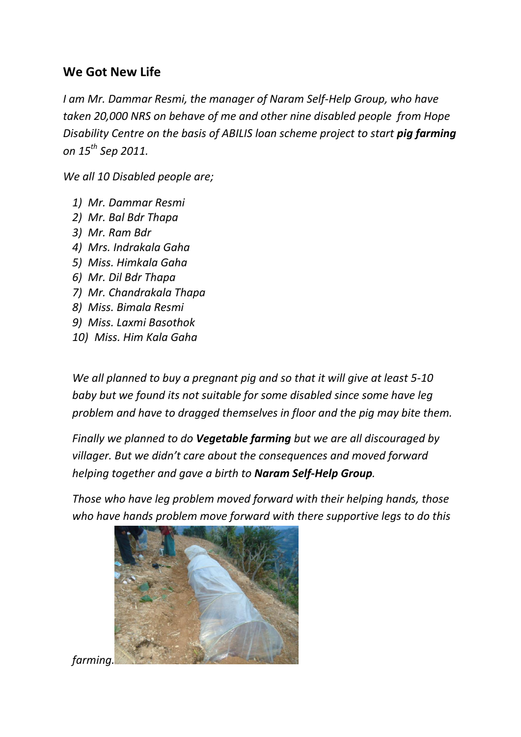## **We Got New Life**

*I am Mr. Dammar Resmi, the manager of Naram Self-Help Group, who have taken 20,000 NRS on behave of me and other nine disabled people from Hope Disability Centre on the basis of ABILIS loan scheme project to start pig farming on 15th Sep 2011.*

*We all 10 Disabled people are;*

- *1) Mr. Dammar Resmi*
- *2) Mr. Bal Bdr Thapa*
- *3) Mr. Ram Bdr*
- *4) Mrs. Indrakala Gaha*
- *5) Miss. Himkala Gaha*
- *6) Mr. Dil Bdr Thapa*
- *7) Mr. Chandrakala Thapa*
- *8) Miss. Bimala Resmi*
- *9) Miss. Laxmi Basothok*
- *10) Miss. Him Kala Gaha*

*We all planned to buy a pregnant pig and so that it will give at least 5-10 baby but we found its not suitable for some disabled since some have leg problem and have to dragged themselves in floor and the pig may bite them.*

*Finally we planned to do Vegetable farming but we are all discouraged by villager. But we didn't care about the consequences and moved forward helping together and gave a birth to Naram Self-Help Group.*

*Those who have leg problem moved forward with their helping hands, those who have hands problem move forward with there supportive legs to do this* 



*farming.*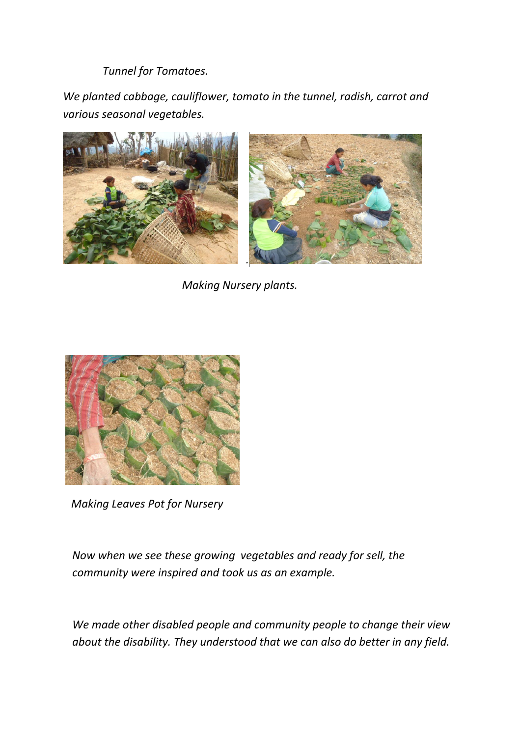*Tunnel for Tomatoes.*

*We planted cabbage, cauliflower, tomato in the tunnel, radish, carrot and various seasonal vegetables.*



 *Making Nursery plants.* 



 *Making Leaves Pot for Nursery* 

*Now when we see these growing vegetables and ready for sell, the community were inspired and took us as an example.*

*We made other disabled people and community people to change their view about the disability. They understood that we can also do better in any field.*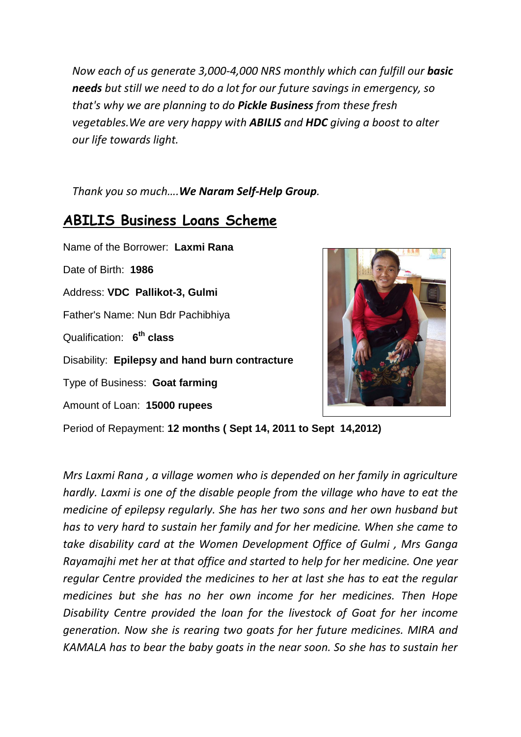*Now each of us generate 3,000-4,000 NRS monthly which can fulfill our basic needs but still we need to do a lot for our future savings in emergency, so that's why we are planning to do Pickle Business from these fresh vegetables.We are very happy with ABILIS and HDC giving a boost to alter our life towards light.*

*Thank you so much….We Naram Self-Help Group.*

## **ABILIS Business Loans Scheme**

Name of the Borrower: **Laxmi Rana** Date of Birth: **1986** Address: **VDC Pallikot-3, Gulmi** Father's Name: Nun Bdr Pachibhiya Qualification: **6 th class** Disability: **Epilepsy and hand burn contracture**  Type of Business: **Goat farming** Amount of Loan: **15000 rupees**



Period of Repayment: **12 months ( Sept 14, 2011 to Sept 14,2012)**

*Mrs Laxmi Rana , a village women who is depended on her family in agriculture hardly. Laxmi is one of the disable people from the village who have to eat the medicine of epilepsy regularly. She has her two sons and her own husband but has to very hard to sustain her family and for her medicine. When she came to take disability card at the Women Development Office of Gulmi , Mrs Ganga Rayamajhi met her at that office and started to help for her medicine. One year regular Centre provided the medicines to her at last she has to eat the regular medicines but she has no her own income for her medicines. Then Hope Disability Centre provided the loan for the livestock of Goat for her income generation. Now she is rearing two goats for her future medicines. MIRA and KAMALA has to bear the baby goats in the near soon. So she has to sustain her*